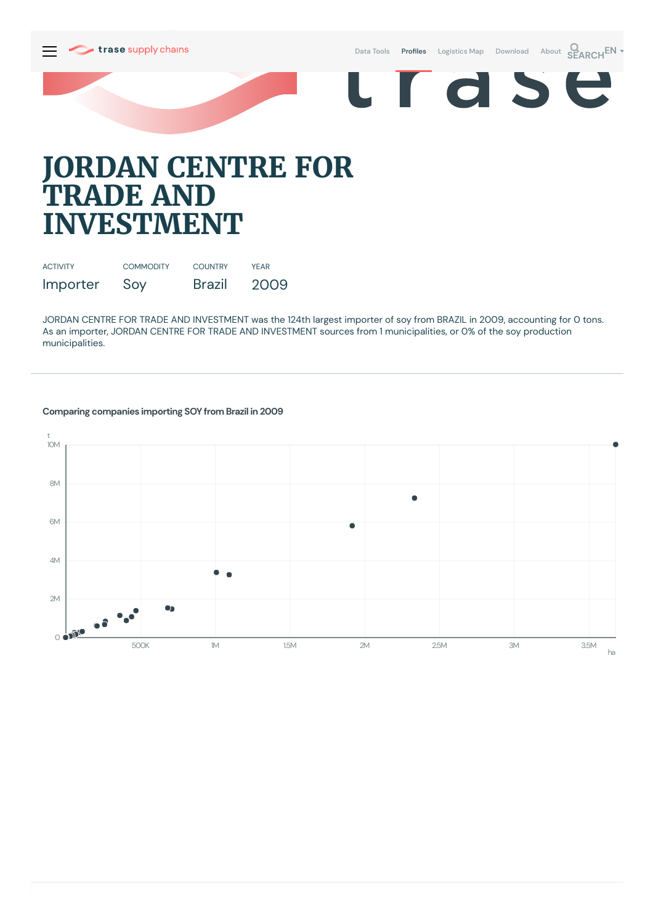

Data [Tools](https://supplychains.trase.earth/explore) Profiles [Logistics](https://supplychains.trase.earth/logistics-map) Map [Download](https://supplychains.trase.earth/data) [About](https://supplychains.trase.earth/about) **SEARCH<sup>EN</sup>** 

E

r d S



## **JORDAN CENTRE FOR TRADE AND INVESTMENT**

| <b>ACTIVITY</b> | <b>COMMODITY</b> | <b>COUNTRY</b> | <b>YFAR</b> |
|-----------------|------------------|----------------|-------------|
| Importer        | Soy              | <b>Brazil</b>  | 2009        |

JORDAN CENTRE FOR TRADE AND INVESTMENT was the 124th largest importer of soy from BRAZIL in 2009, accounting for 0 tons. As an importer, JORDAN CENTRE FOR TRADE AND INVESTMENT sources from 1 municipalities, or 0% of the soy production municipalities.

## **Comparing companies importing SOY from Brazil in 2009**

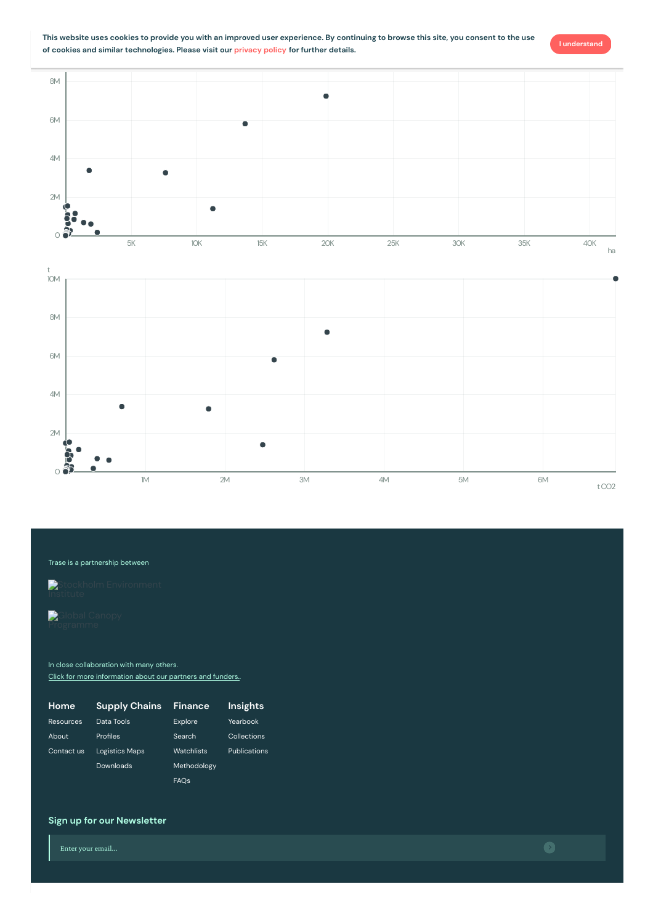



## Trase is a partnership between

Stockholm [Environment](https://sei-international.org/)

2M

ð

4M

Ċ

 $\bullet$ 

6M

In close collaboration with many others. Click for more [information](https://www.trase.earth/about/) about our partners and funders.

| Home             | <b>Supply Chains</b>  | Finance     | Insights            |
|------------------|-----------------------|-------------|---------------------|
| <b>Resources</b> | Data Tools            | Explore     | <b>Yearbook</b>     |
| About            | Profiles              | Search      | Collections         |
| Contact us       | <b>Logistics Maps</b> | Watchlists  | <b>Publications</b> |
|                  | Downloads             | Methodology |                     |
|                  |                       | <b>FAOs</b> |                     |

## **Sign up for our Newsletter**

Enter your email...



**I understand**